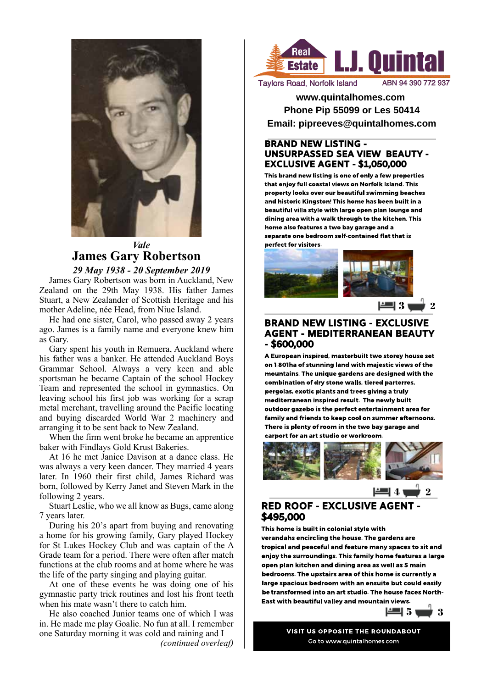

# *Vale* **James Gary Robertson**

*29 May 1938 - 20 September 2019* James Gary Robertson was born in Auckland, New Zealand on the 29th May 1938. His father James Stuart, a New Zealander of Scottish Heritage and his mother Adeline, née Head, from Niue Island.

He had one sister, Carol, who passed away 2 years ago. James is a family name and everyone knew him as Gary.

Gary spent his youth in Remuera, Auckland where his father was a banker. He attended Auckland Boys Grammar School. Always a very keen and able sportsman he became Captain of the school Hockey Team and represented the school in gymnastics. On leaving school his first job was working for a scrap metal merchant, travelling around the Pacific locating and buying discarded World War 2 machinery and arranging it to be sent back to New Zealand.

When the firm went broke he became an apprentice baker with Findlays Gold Krust Bakeries.

At 16 he met Janice Davison at a dance class. He was always a very keen dancer. They married 4 years later. In 1960 their first child, James Richard was born, followed by Kerry Janet and Steven Mark in the following 2 years.

Stuart Leslie, who we all know as Bugs, came along 7 years later.

During his 20's apart from buying and renovating a home for his growing family, Gary played Hockey for St Lukes Hockey Club and was captain of the A Grade team for a period. There were often after match functions at the club rooms and at home where he was the life of the party singing and playing guitar.

At one of these events he was doing one of his gymnastic party trick routines and lost his front teeth when his mate wasn't there to catch him.

He also coached Junior teams one of which I was in. He made me play Goalie. No fun at all. I remember one Saturday morning it was cold and raining and I *(continued overleaf)*



**Taylors Road, Norfolk Island** 

**www.quintalhomes.com Phone Pip 55099 or Les 50414 Email: pipreeves@quintalhomes.com**

### BRAND NEW LISTING - UNSURPASSED SEA VIEW BEAUTY - EXCLUSIVE AGENT - \$1,050,000

This brand new listing is one of only a few properties that enjoy full coastal views on Norfolk Island. This property looks over our beautiful swimming beaches and historic Kingston! This home has been built in a beautiful villa style with large open plan lounge and dining area with a walk through to the kitchen. This home also features a two bay garage and a separate one bedroom self-contained flat that is perfect for visitors.



### BRAND NEW LISTING - EXCLUSIVE AGENT - MEDITERRANEAN BEAUTY - \$600,000

A European inspired, masterbuilt two storey house set on 1.801ha of stunning land with majestic views of the mountains. The unique gardens are designed with the combination of dry stone walls, tiered parterres, pergolas, exotic plants and trees giving a truly mediterranean inspired result. The newly built outdoor gazebo is the perfect entertainment area for family and friends to keep cool on summer afternoons. There is plenty of room in the two bay garage and carport for an art studio or workroom.



# RED ROOF - EXCLUSIVE AGENT - \$495,000

This home is built in colonial style with verandahs encircling the house. The gardens are tropical and peaceful and feature many spaces to sit and enjoy the surroundings. This family home features a large open plan kitchen and dining area as well as 5 main bedrooms. The upstairs area of this home is currently a large spacious bedroom with an ensuite but could easily be transformed into an art studio. The house faces North-East with beautiful valley and mountain views.



VISIT US OPPOSITE THE ROUNDABOUT Go to www.quintalhomes.com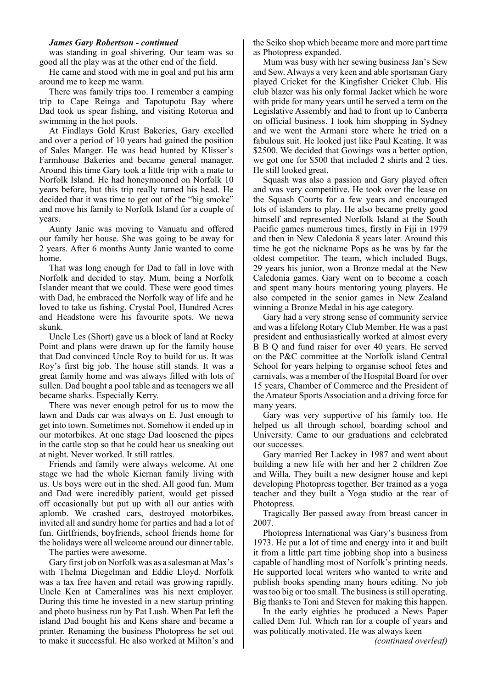#### *James Gary Robertson - continued*

was standing in goal shivering. Our team was so good all the play was at the other end of the field.

He came and stood with me in goal and put his arm around me to keep me warm.

There was family trips too. I remember a camping trip to Cape Reinga and Tapotupotu Bay where Dad took us spear fishing, and visiting Rotorua and swimming in the hot pools.

At Findlays Gold Krust Bakeries, Gary excelled and over a period of 10 years had gained the position of Sales Manger. He was head hunted by Klisser's Farmhouse Bakeries and became general manager. Around this time Gary took a little trip with a mate to Norfolk Island. He had honeymooned on Norfolk 10 years before, but this trip really turned his head. He decided that it was time to get out of the "big smoke" and move his family to Norfolk Island for a couple of years.

Aunty Janie was moving to Vanuatu and offered our family her house. She was going to be away for 2 years. After 6 months Aunty Janie wanted to come home.

That was long enough for Dad to fall in love with Norfolk and decided to stay. Mum, being a Norfolk Islander meant that we could. These were good times with Dad, he embraced the Norfolk way of life and he loved to take us fishing. Crystal Pool, Hundred Acres and Headstone were his favourite spots. We newa skunk.

Uncle Les (Short) gave us a block of land at Rocky Point and plans were drawn up for the family house that Dad convinced Uncle Roy to build for us. It was Roy's first big job. The house still stands. It was a great family home and was always filled with lots of sullen. Dad bought a pool table and as teenagers we all became sharks. Especially Kerry.

There was never enough petrol for us to mow the lawn and Dads car was always on E. Just enough to get into town. Sometimes not. Somehow it ended up in our motorbikes. At one stage Dad loosened the pipes in the cattle stop so that he could hear us sneaking out at night. Never worked. It still rattles.

Friends and family were always welcome. At one stage we had the whole Kiernan family living with us. Us boys were out in the shed. All good fun. Mum and Dad were incredibly patient, would get pissed off occasionally but put up with all our antics with aplomb. We crashed cars, destroyed motorbikes, invited all and sundry home for parties and had a lot of fun. Girlfriends, boyfriends, school friends home for the holidays were all welcome around our dinner table.

The parties were awesome.

Gary first job on Norfolk was as a salesman at Max's with Thelma Diegelman and Eddie Lloyd. Norfolk was a tax free haven and retail was growing rapidly. Uncle Ken at Cameralines was his next employer. During this time he invested in a new startup printing and photo business run by Pat Lush. When Pat left the island Dad bought his and Kens share and became a printer. Renaming the business Photopress he set out to make it successful. He also worked at Milton's and

the Seiko shop which became more and more part time as Photopress expanded.

Mum was busy with her sewing business Jan's Sew and Sew. Always a very keen and able sportsman Gary played Cricket for the Kingfisher Cricket Club. His club blazer was his only formal Jacket which he wore with pride for many years until he served a term on the Legislative Assembly and had to front up to Canberra on official business. I took him shopping in Sydney and we went the Armani store where he tried on a fabulous suit. He looked just like Paul Keating. It was \$2500. We decided that Gowings was a better option, we got one for \$500 that included 2 shirts and 2 ties. He still looked great.

Squash was also a passion and Gary played often and was very competitive. He took over the lease on the Squash Courts for a few years and encouraged lots of islanders to play. He also became pretty good himself and represented Norfolk Island at the South Pacific games numerous times, firstly in Fiji in 1979 and then in New Caledonia 8 years later. Around this time he got the nickname Pops as he was by far the oldest competitor. The team, which included Bugs, 29 years his junior, won a Bronze medal at the New Caledonia games. Gary went on to become a coach and spent many hours mentoring young players. He also competed in the senior games in New Zealand winning a Bronze Medal in his age category.

Gary had a very strong sense of community service and was a lifelong Rotary Club Member. He was a past president and enthusiastically worked at almost every B B Q and fund raiser for over 40 years. He served on the P&C committee at the Norfolk island Central School for years helping to organise school fetes and carnivals, was a member of the Hospital Board for over 15 years, Chamber of Commerce and the President of the Amateur Sports Association and a driving force for many years.

Gary was very supportive of his family too. He helped us all through school, boarding school and University. Came to our graduations and celebrated our successes.

Gary married Ber Lackey in 1987 and went about building a new life with her and her 2 children Zoe and Willa. They built a new designer house and kept developing Photopress together. Ber trained as a yoga teacher and they built a Yoga studio at the rear of Photopress.

Tragically Ber passed away from breast cancer in 2007.

Photopress International was Gary's business from 1973. He put a lot of time and energy into it and built it from a little part time jobbing shop into a business capable of handling most of Norfolk's printing needs. He supported local writers who wanted to write and publish books spending many hours editing. No job was too big or too small. The business is still operating. Big thanks to Toni and Steven for making this happen.

In the early eighties he produced a News Paper called Dem Tul. Which ran for a couple of years and was politically motivated. He was always keen

*(continued overleaf)*